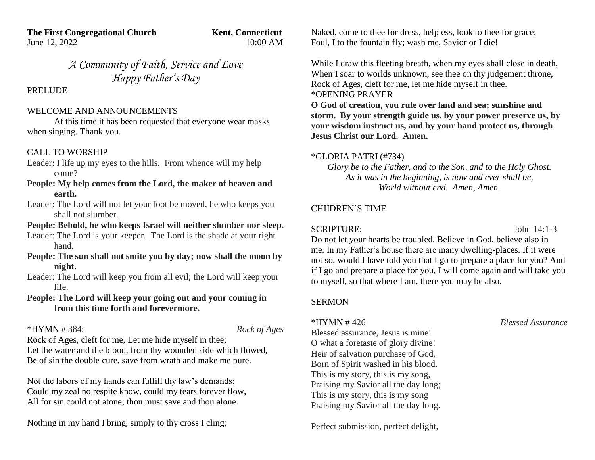**The First Congregational Church Kent, Connecticut** June 12, 2022 10:00 AM

*A Community of Faith, Service and Love Happy Father's Day*

PRELUDE

#### WELCOME AND ANNOUNCEMENTS

At this time it has been requested that everyone wear masks when singing. Thank you.

## CALL TO WORSHIP

Leader: I life up my eyes to the hills. From whence will my help come?

## **People: My help comes from the Lord, the maker of heaven and earth.**

Leader: The Lord will not let your foot be moved, he who keeps you shall not slumber.

## **People: Behold, he who keeps Israel will neither slumber nor sleep.**

Leader: The Lord is your keeper. The Lord is the shade at your right hand.

#### **People: The sun shall not smite you by day; now shall the moon by night.**

Leader: The Lord will keep you from all evil; the Lord will keep your life.

## **People: The Lord will keep your going out and your coming in from this time forth and forevermore.**

## \*HYMN # 384: *Rock of Ages*

Rock of Ages, cleft for me, Let me hide myself in thee; Let the water and the blood, from thy wounded side which flowed, Be of sin the double cure, save from wrath and make me pure.

Not the labors of my hands can fulfill thy law's demands; Could my zeal no respite know, could my tears forever flow, All for sin could not atone; thou must save and thou alone.

Nothing in my hand I bring, simply to thy cross I cling;

Naked, come to thee for dress, helpless, look to thee for grace; Foul, I to the fountain fly; wash me, Savior or I die!

While I draw this fleeting breath, when my eyes shall close in death, When I soar to worlds unknown, see thee on thy judgement throne, Rock of Ages, cleft for me, let me hide myself in thee. \*OPENING PRAYER

**O God of creation, you rule over land and sea; sunshine and storm. By your strength guide us, by your power preserve us, by your wisdom instruct us, and by your hand protect us, through Jesus Christ our Lord. Amen.**

## \*GLORIA PATRI (#734)

*Glory be to the Father, and to the Son, and to the Holy Ghost. As it was in the beginning, is now and ever shall be, World without end. Amen, Amen.*

## CHIIDREN'S TIME

# SCRIPTURE: John 14:1-3

Do not let your hearts be troubled. Believe in God, believe also in me. In my Father's house there are many dwelling-places. If it were not so, would I have told you that I go to prepare a place for you? And if I go and prepare a place for you, I will come again and will take you to myself, so that where I am, there you may be also.

# SERMON

Blessed assurance, Jesus is mine! O what a foretaste of glory divine! Heir of salvation purchase of God, Born of Spirit washed in his blood. This is my story, this is my song, Praising my Savior all the day long; This is my story, this is my song Praising my Savior all the day long.

Perfect submission, perfect delight,

\*HYMN # 426 *Blessed Assurance*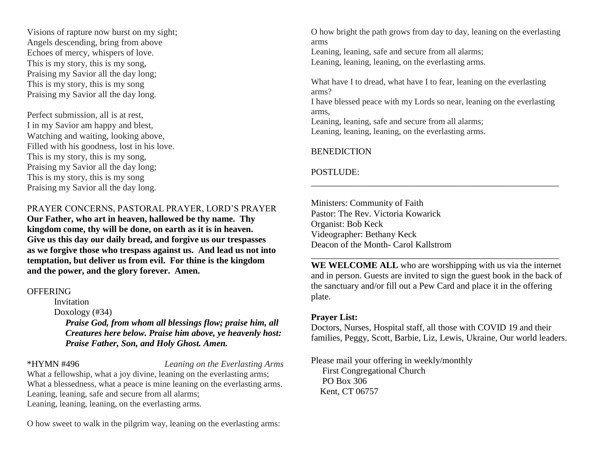Visions of rapture now burst on my sight; Angels descending, bring from above Echoes of mercy, whispers of love. This is my story, this is my song, Praising my Savior all the day long; This is my story, this is my song Praising my Savior all the day long.

Perfect submission, all is at rest, I in my Savior am happy and blest, Watching and waiting, looking above, Filled with his goodness, lost in his love. This is my story, this is my song, Praising my Savior all the day long; This is my story, this is my song Praising my Savior all the day long.

PRAYER CONCERNS, PASTORAL PRAYER, LORD'S PRAYER

**Our Father, who art in heaven, hallowed be thy name. Thy kingdom come, thy will be done, on earth as it is in heaven. Give us this day our daily bread, and forgive us our trespasses as we forgive those who trespass against us. And lead us not into temptation, but deliver us from evil. For thine is the kingdom and the power, and the glory forever. Amen.**

#### **OFFERING**

Invitation Doxology (#34)  *Praise God, from whom all blessings flow; praise him, all Creatures here below. Praise him above, ye heavenly host: Praise Father, Son, and Holy Ghost. Amen.*

\*HYMN #496 *Leaning on the Everlasting Arms* What a fellowship, what a joy divine, leaning on the everlasting arms; What a blessedness, what a peace is mine leaning on the everlasting arms. Leaning, leaning, safe and secure from all alarms; Leaning, leaning, leaning, on the everlasting arms.

O how sweet to walk in the pilgrim way, leaning on the everlasting arms:

O how bright the path grows from day to day, leaning on the everlasting arms Leaning, leaning, safe and secure from all alarms;

Leaning, leaning, leaning, on the everlasting arms.

What have I to dread, what have I to fear, leaning on the everlasting arms?

I have blessed peace with my Lords so near, leaning on the everlasting arms,

\_\_\_\_\_\_\_\_\_\_\_\_\_\_\_\_\_\_\_\_\_\_\_\_\_\_\_\_\_\_\_\_\_\_\_\_\_\_\_\_\_\_\_\_\_\_\_\_\_\_\_\_\_\_\_

Leaning, leaning, safe and secure from all alarms; Leaning, leaning, leaning, on the everlasting arms.

## **BENEDICTION**

# POSTLUDE:

Ministers: Community of Faith Pastor: The Rev. Victoria Kowarick Organist: Bob Keck Videographer: Bethany Keck Deacon of the Month- Carol Kallstrom

**WE WELCOME ALL** who are worshipping with us via the internet and in person. Guests are invited to sign the guest book in the back of the sanctuary and/or fill out a Pew Card and place it in the offering plate.

\_\_\_\_\_\_\_\_\_\_\_\_\_\_\_\_\_\_\_\_\_\_\_\_\_\_\_\_\_\_\_\_\_\_\_\_\_\_\_\_\_\_\_\_\_\_\_\_\_\_\_\_\_\_\_

## **Prayer List:**

Doctors, Nurses, Hospital staff, all those with COVID 19 and their families, Peggy, Scott, Barbie, Liz, Lewis, Ukraine, Our world leaders.

Please mail your offering in weekly/monthly First Congregational Church PO Box 306 Kent, CT 06757